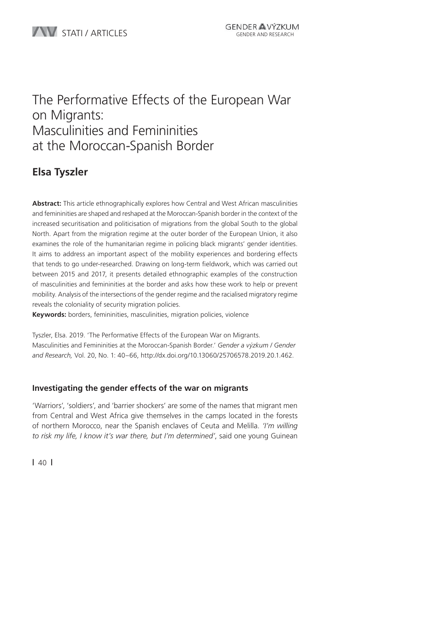# The Performative Effects of the European War on Migrants: Masculinities and Femininities at the Moroccan-Spanish Border

### **Elsa Tyszler**

**Abstract:** This article ethnographically explores how Central and West African masculinities and femininities are shaped and reshaped at the Moroccan-Spanish border in the context of the increased securitisation and politicisation of migrations from the global South to the global North. Apart from the migration regime at the outer border of the European Union, it also examines the role of the humanitarian regime in policing black migrants' gender identities. It aims to address an important aspect of the mobility experiences and bordering effects that tends to go under-researched. Drawing on long-term fieldwork, which was carried out between 2015 and 2017, it presents detailed ethnographic examples of the construction of masculinities and femininities at the border and asks how these work to help or prevent mobility. Analysis of the intersections of the gender regime and the racialised migratory regime reveals the coloniality of security migration policies.

**Keywords:** borders, femininities, masculinities, migration policies, violence

Tyszler, Elsa. 2019. 'The Performative Effects of the European War on Migrants. Masculinities and Femininities at the Moroccan-Spanish Border.' *Gender a výzkum / Gender and Research,* Vol. 20, No. 1: 40–66, http://dx.doi.org/10.13060/25706578.2019.20.1.462.

### **Investigating the gender effects of the war on migrants**

'Warriors', 'soldiers', and 'barrier shockers' are some of the names that migrant men from Central and West Africa give themselves in the camps located in the forests of northern Morocco, near the Spanish enclaves of Ceuta and Melilla. *'I'm willing to risk my life, I know it's war there, but I'm determined'*, said one young Guinean

**|** 40 **|**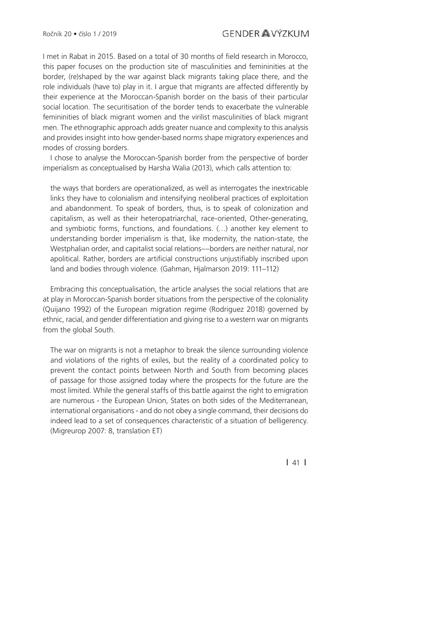I met in Rabat in 2015. Based on a total of 30 months of field research in Morocco, this paper focuses on the production site of masculinities and femininities at the border, (re)shaped by the war against black migrants taking place there, and the role individuals (have to) play in it. I argue that migrants are affected differently by their experience at the Moroccan-Spanish border on the basis of their particular social location. The securitisation of the border tends to exacerbate the vulnerable femininities of black migrant women and the virilist masculinities of black migrant men. The ethnographic approach adds greater nuance and complexity to this analysis and provides insight into how gender-based norms shape migratory experiences and modes of crossing borders.

I chose to analyse the Moroccan-Spanish border from the perspective of border imperialism as conceptualised by Harsha Walia (2013), which calls attention to:

the ways that borders are operationalized, as well as interrogates the inextricable links they have to colonialism and intensifying neoliberal practices of exploitation and abandonment. To speak of borders, thus, is to speak of colonization and capitalism, as well as their heteropatriarchal, race-oriented, Other-generating, and symbiotic forms, functions, and foundations. (…) another key element to understanding border imperialism is that, like modernity, the nation-state, the Westphalian order, and capitalist social relations––borders are neither natural, nor apolitical. Rather, borders are artificial constructions uniustifiably inscribed upon land and bodies through violence. (Gahman, Hialmarson 2019: 111–112)

Embracing this conceptualisation, the article analyses the social relations that are at play in Moroccan-Spanish border situations from the perspective of the coloniality (Quijano 1992) of the European migration regime (Rodriguez 2018) governed by ethnic, racial, and gender differentiation and giving rise to a western war on migrants from the global South.

The war on migrants is not a metaphor to break the silence surrounding violence and violations of the rights of exiles, but the reality of a coordinated policy to prevent the contact points between North and South from becoming places of passage for those assigned today where the prospects for the future are the most limited. While the general staffs of this battle against the right to emigration are numerous - the European Union, States on both sides of the Mediterranean, international organisations - and do not obey a single command, their decisions do indeed lead to a set of consequences characteristic of a situation of belligerency. (Migreurop 2007: 8, translation ET)

**|** 41 **|**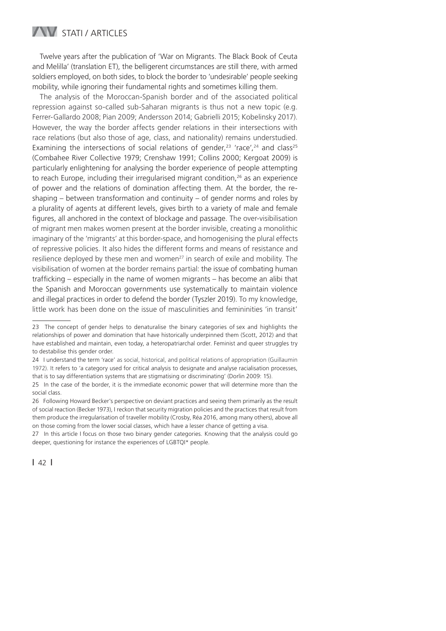

Twelve years after the publication of 'War on Migrants. The Black Book of Ceuta and Melilla' (translation ET), the belligerent circumstances are still there, with armed soldiers employed, on both sides, to block the border to 'undesirable' people seeking mobility, while ignoring their fundamental rights and sometimes killing them.

The analysis of the Moroccan-Spanish border and of the associated political repression against so-called sub-Saharan migrants is thus not a new topic (e.g. Ferrer-Gallardo 2008; Pian 2009; Andersson 2014; Gabrielli 2015; Kobelinsky 2017). However, the way the border affects gender relations in their intersections with race relations (but also those of age, class, and nationality) remains understudied. Examining the intersections of social relations of gender,<sup>23</sup> 'race',<sup>24</sup> and class<sup>25</sup> (Combahee River Collective 1979; Crenshaw 1991; Collins 2000; Kergoat 2009) is particularly enlightening for analysing the border experience of people attempting to reach Europe, including their irregularised migrant condition.<sup>26</sup> as an experience of power and the relations of domination affecting them. At the border, the reshaping – between transformation and continuity – of gender norms and roles by a plurality of agents at different levels, gives birth to a variety of male and female figures, all anchored in the context of blockage and passage. The over-visibilisation of migrant men makes women present at the border invisible, creating a monolithic imaginary of the 'migrants' at this border-space, and homogenising the plural effects of repressive policies. It also hides the different forms and means of resistance and resilience deployed by these men and women<sup>27</sup> in search of exile and mobility. The visibilisation of women at the border remains partial: the issue of combating human trafficking – especially in the name of women migrants – has become an alibi that the Spanish and Moroccan governments use systematically to maintain violence and illegal practices in order to defend the border (Tyszler 2019). To my knowledge, little work has been done on the issue of masculinities and femininities 'in transit'

<sup>23</sup> The concept of gender helps to denaturalise the binary categories of sex and highlights the relationships of power and domination that have historically underpinned them (Scott, 2012) and that have established and maintain, even today, a heteropatriarchal order. Feminist and queer struggles try to destabilise this gender order.

<sup>24</sup> I understand the term 'race' as social, historical, and political relations of appropriation (Guillaumin 1972). It refers to 'a category used for critical analysis to designate and analyse racialisation processes, that is to say differentiation systems that are stigmatising or discriminating' (Dorlin 2009: 15).

<sup>25</sup> In the case of the border, it is the immediate economic power that will determine more than the social class.

<sup>26</sup> Following Howard Becker's perspective on deviant practices and seeing them primarily as the result of social reaction (Becker 1973), I reckon that security migration policies and the practices that result from them produce the irregularisation of traveller mobility (Crosby, Réa 2016, among many others), above all on those coming from the lower social classes, which have a lesser chance of getting a visa.

<sup>27</sup> In this article I focus on those two binary gender categories. Knowing that the analysis could go deeper, questioning for instance the experiences of LGBTQI\* people.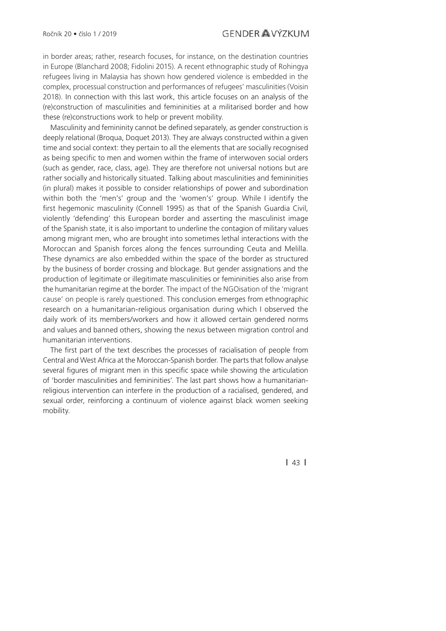in border areas; rather, research focuses, for instance, on the destination countries in Europe (Blanchard 2008; Fidolini 2015). A recent ethnographic study of Rohingya refugees living in Malaysia has shown how gendered violence is embedded in the complex, processual construction and performances of refugees' masculinities (Voisin 2018). In connection with this last work, this article focuses on an analysis of the (re)construction of masculinities and femininities at a militarised border and how these (re)constructions work to help or prevent mobility.

Masculinity and femininity cannot be defined separately, as gender construction is deeply relational (Broqua, Doquet 2013). They are always constructed within a given time and social context: they pertain to all the elements that are socially recognised as being specific to men and women within the frame of interwoven social orders (such as gender, race, class, age). They are therefore not universal notions but are rather socially and historically situated. Talking about masculinities and femininities (in plural) makes it possible to consider relationships of power and subordination within both the 'men's' group and the 'women's' group. While I identify the first hegemonic masculinity (Connell 1995) as that of the Spanish Guardia Civil, violently 'defending' this European border and asserting the masculinist image of the Spanish state, it is also important to underline the contagion of military values among migrant men, who are brought into sometimes lethal interactions with the Moroccan and Spanish forces along the fences surrounding Ceuta and Melilla. These dynamics are also embedded within the space of the border as structured by the business of border crossing and blockage. But gender assignations and the production of legitimate or illegitimate masculinities or femininities also arise from the humanitarian regime at the border. The impact of the NGOisation of the 'migrant cause' on people is rarely questioned. This conclusion emerges from ethnographic research on a humanitarian-religious organisation during which I observed the daily work of its members/workers and how it allowed certain gendered norms and values and banned others, showing the nexus between migration control and humanitarian interventions.

The first part of the text describes the processes of racialisation of people from Central and West Africa at the Moroccan-Spanish border. The parts that follow analyse several figures of migrant men in this specific space while showing the articulation of 'border masculinities and femininities'. The last part shows how a humanitarianreligious intervention can interfere in the production of a racialised, gendered, and sexual order, reinforcing a continuum of violence against black women seeking mobility.

**|** 43 **|**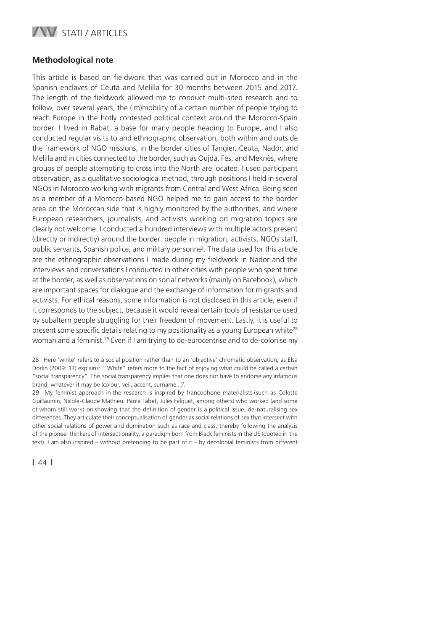

#### **Methodological note**

This article is based on fieldwork that was carried out in Morocco and in the Spanish enclaves of Ceuta and Melilla for 30 months between 2015 and 2017. The length of the fieldwork allowed me to conduct multi-sited research and to follow, over several years, the (im)mobility of a certain number of people trying to reach Europe in the hotly contested political context around the Morocco-Spain border. I lived in Rabat, a base for many people heading to Europe, and I also conducted regular visits to and ethnographic observation, both within and outside the framework of NGO missions, in the border cities of Tangier, Ceuta, Nador, and Melilla and in cities connected to the border, such as Oujda, Fès, and Meknès, where groups of people attempting to cross into the North are located. I used participant observation, as a qualitative sociological method, through positions I held in several NGOs in Morocco working with migrants from Central and West Africa. Being seen as a member of a Morocco-based NGO helped me to gain access to the border area on the Moroccan side that is highly monitored by the authorities, and where European researchers, journalists, and activists working on migration topics are clearly not welcome. I conducted a hundred interviews with multiple actors present (directly or indirectly) around the border: people in migration, activists, NGOs staff, public servants, Spanish police, and military personnel. The data used for this article are the ethnographic observations I made during my fieldwork in Nador and the interviews and conversations I conducted in other cities with people who spent time at the border, as well as observations on social networks (mainly on Facebook), which are important spaces for dialogue and the exchange of information for migrants and activists. For ethical reasons, some information is not disclosed in this article, even if it corresponds to the subject, because it would reveal certain tools of resistance used by subaltern people struggling for their freedom of movement. Lastly, it is useful to present some specific details relating to my positionality as a young European white<sup>28</sup> woman and a feminist.29 Even if I am trying to de-eurocentrise and to de-colonise my

<sup>28</sup> Here 'white' refers to a social position rather than to an 'objective' chromatic observation, as Elsa Dorlin (2009: 13) explains: '"White" refers more to the fact of enjoying what could be called a certain "social transparency". This social transparency implies that one does not have to endorse any infamous brand, whatever it may be (colour, veil, accent, surname...)'.

<sup>29</sup> My feminist approach in the research is inspired by francophone materialists (such as Colette Guillaumin, Nicole-Claude Mathieu, Paola Tabet, Jules Falquet, among others) who worked (and some of whom still work) on showing that the definition of gender is a political issue, de-naturalising sex differences. They articulate their conceptualisation of gender as social relations of sex that intersect with other social relations of power and domination such as race and class, thereby following the analysis of the pioneer thinkers of intersectionality, a paradigm born from Black feminists in the US (quoted in the text). I am also inspired – without pretending to be part of it – by decolonial feminists from different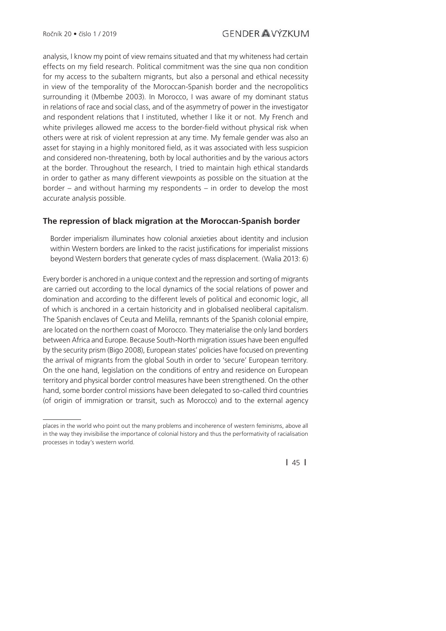analysis, I know my point of view remains situated and that my whiteness had certain effects on my field research. Political commitment was the sine qua non condition for my access to the subaltern migrants, but also a personal and ethical necessity in view of the temporality of the Moroccan-Spanish border and the necropolitics surrounding it (Mbembe 2003). In Morocco, I was aware of my dominant status in relations of race and social class, and of the asymmetry of power in the investigator and respondent relations that I instituted, whether I like it or not. My French and white privileges allowed me access to the border-field without physical risk when others were at risk of violent repression at any time. My female gender was also an asset for staying in a highly monitored field, as it was associated with less suspicion and considered non-threatening, both by local authorities and by the various actors at the border. Throughout the research, I tried to maintain high ethical standards in order to gather as many different viewpoints as possible on the situation at the border – and without harming my respondents – in order to develop the most accurate analysis possible.

#### **The repression of black migration at the Moroccan-Spanish border**

Border imperialism illuminates how colonial anxieties about identity and inclusion within Western borders are linked to the racist justifications for imperialist missions beyond Western borders that generate cycles of mass displacement. (Walia 2013: 6)

Every border is anchored in a unique context and the repression and sorting of migrants are carried out according to the local dynamics of the social relations of power and domination and according to the different levels of political and economic logic, all of which is anchored in a certain historicity and in globalised neoliberal capitalism. The Spanish enclaves of Ceuta and Melilla, remnants of the Spanish colonial empire, are located on the northern coast of Morocco. They materialise the only land borders between Africa and Europe. Because South-North migration issues have been engulfed by the security prism (Bigo 2008), European states' policies have focused on preventing the arrival of migrants from the global South in order to 'secure' European territory. On the one hand, legislation on the conditions of entry and residence on European territory and physical border control measures have been strengthened. On the other hand, some border control missions have been delegated to so-called third countries (of origin of immigration or transit, such as Morocco) and to the external agency

places in the world who point out the many problems and incoherence of western feminisms, above all in the way they invisibilise the importance of colonial history and thus the performativity of racialisation processes in today's western world.

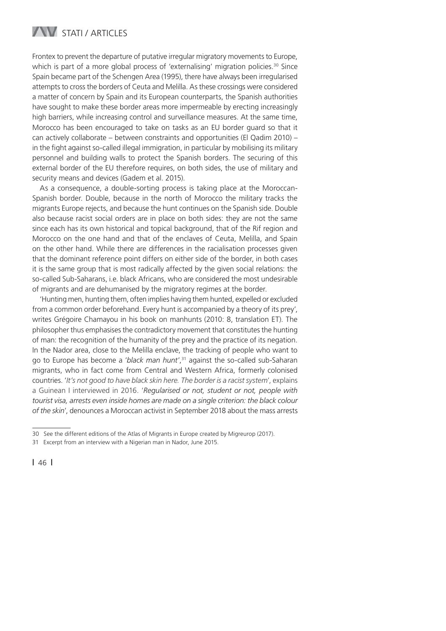

Frontex to prevent the departure of putative irregular migratory movements to Europe, which is part of a more global process of 'externalising' migration policies.<sup>30</sup> Since Spain became part of the Schengen Area (1995), there have always been irregularised attempts to cross the borders of Ceuta and Melilla. As these crossings were considered a matter of concern by Spain and its European counterparts, the Spanish authorities have sought to make these border areas more impermeable by erecting increasingly high barriers, while increasing control and surveillance measures. At the same time, Morocco has been encouraged to take on tasks as an EU border guard so that it can actively collaborate – between constraints and opportunities (El Qadim 2010) – in the fight against so-called illegal immigration, in particular by mobilising its military personnel and building walls to protect the Spanish borders. The securing of this external border of the EU therefore requires, on both sides, the use of military and security means and devices (Gadem et al. 2015).

As a consequence, a double-sorting process is taking place at the Moroccan-Spanish border. Double, because in the north of Morocco the military tracks the migrants Europe rejects, and because the hunt continues on the Spanish side. Double also because racist social orders are in place on both sides: they are not the same since each has its own historical and topical background, that of the Rif region and Morocco on the one hand and that of the enclaves of Ceuta, Melilla, and Spain on the other hand. While there are differences in the racialisation processes given that the dominant reference point differs on either side of the border, in both cases it is the same group that is most radically affected by the given social relations: the so-called Sub-Saharans, i.e. black Africans, who are considered the most undesirable of migrants and are dehumanised by the migratory regimes at the border.

'Hunting men, hunting them, often implies having them hunted, expelled or excluded from a common order beforehand. Every hunt is accompanied by a theory of its prey', writes Grégoire Chamayou in his book on manhunts (2010: 8, translation ET). The philosopher thus emphasises the contradictory movement that constitutes the hunting of man: the recognition of the humanity of the prey and the practice of its negation. In the Nador area, close to the Melilla enclave, the tracking of people who want to go to Europe has become a '*black man hunt*',31 against the so-called sub-Saharan migrants, who in fact come from Central and Western Africa, formerly colonised countries. '*It's not good to have black skin here. The border is a racist system*', explains a Guinean I interviewed in 2016. '*Regularised or not, student or not, people with tourist visa, arrests even inside homes are made on a single criterion: the black colour of the skin*', denounces a Moroccan activist in September 2018 about the mass arrests

<sup>30</sup> See the different editions of the Atlas of Migrants in Europe created by Migreurop (2017).

<sup>31</sup> Excerpt from an interview with a Nigerian man in Nador, June 2015.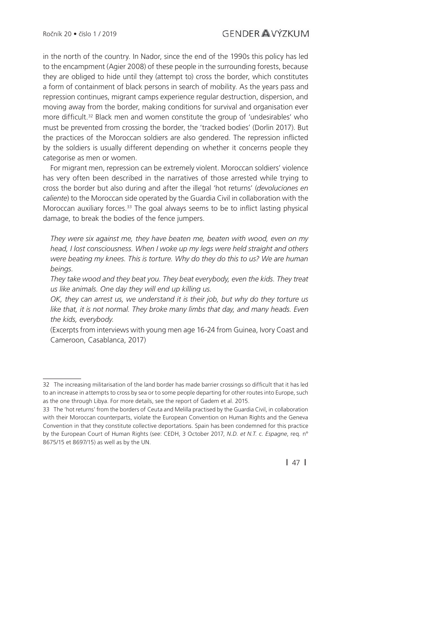in the north of the country. In Nador, since the end of the 1990s this policy has led to the encampment (Agier 2008) of these people in the surrounding forests, because they are obliged to hide until they (attempt to) cross the border, which constitutes a form of containment of black persons in search of mobility. As the years pass and repression continues, migrant camps experience regular destruction, dispersion, and moving away from the border, making conditions for survival and organisation ever more difficult.<sup>32</sup> Black men and women constitute the group of 'undesirables' who must be prevented from crossing the border, the 'tracked bodies' (Dorlin 2017). But the practices of the Moroccan soldiers are also gendered. The repression inflicted by the soldiers is usually different depending on whether it concerns people they categorise as men or women.

For migrant men, repression can be extremely violent. Moroccan soldiers' violence has very often been described in the narratives of those arrested while trying to cross the border but also during and after the illegal 'hot returns' (*devoluciones en caliente*) to the Moroccan side operated by the Guardia Civil in collaboration with the Moroccan auxiliary forces.<sup>33</sup> The goal always seems to be to inflict lasting physical damage, to break the bodies of the fence jumpers.

*They were six against me, they have beaten me, beaten with wood, even on my head, I lost consciousness. When I woke up my legs were held straight and others were beating my knees. This is torture. Why do they do this to us? We are human beings.*

*They take wood and they beat you. They beat everybody, even the kids. They treat us like animals. One day they will end up killing us.*

*OK, they can arrest us, we understand it is their job, but why do they torture us*  like that, it is not normal. They broke many limbs that day, and many heads. Even *the kids, everybody.*

(Excerpts from interviews with young men age 16-24 from Guinea, Ivory Coast and Cameroon, Casablanca, 2017)

**|** 47 **|**

<sup>32</sup> The increasing militarisation of the land border has made barrier crossings so difficult that it has led to an increase in attempts to cross by sea or to some people departing for other routes into Europe, such as the one through Libya. For more details, see the report of Gadem et al. 2015.

<sup>33</sup> The 'hot returns' from the borders of Ceuta and Melilla practised by the Guardia Civil, in collaboration with their Moroccan counterparts, violate the European Convention on Human Rights and the Geneva Convention in that they constitute collective deportations. Spain has been condemned for this practice by the European Court of Human Rights (see: CEDH, 3 October 2017, *N.D. et N.T. c. Espagne*, req. n° 8675/15 et 8697/15) as well as by the UN.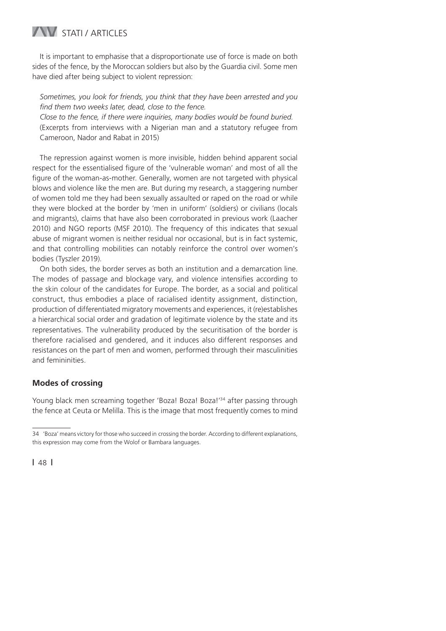### **WESTATI / ARTICLES**

It is important to emphasise that a disproportionate use of force is made on both sides of the fence, by the Moroccan soldiers but also by the Guardia civil. Some men have died after being subject to violent repression:

*Sometimes, you look for friends, you think that they have been arrested and you*  find them two weeks later, dead, close to the fence.

*Close to the fence, if there were inquiries, many bodies would be found buried.* (Excerpts from interviews with a Nigerian man and a statutory refugee from Cameroon, Nador and Rabat in 2015)

The repression against women is more invisible, hidden behind apparent social respect for the essentialised figure of the 'vulnerable woman' and most of all the figure of the woman-as-mother. Generally, women are not targeted with physical blows and violence like the men are. But during my research, a staggering number of women told me they had been sexually assaulted or raped on the road or while they were blocked at the border by 'men in uniform' (soldiers) or civilians (locals and migrants), claims that have also been corroborated in previous work (Laacher 2010) and NGO reports (MSF 2010). The frequency of this indicates that sexual abuse of migrant women is neither residual nor occasional, but is in fact systemic, and that controlling mobilities can notably reinforce the control over women's bodies (Tyszler 2019).

On both sides, the border serves as both an institution and a demarcation line. The modes of passage and blockage vary, and violence intensifies according to the skin colour of the candidates for Europe. The border, as a social and political construct, thus embodies a place of racialised identity assignment, distinction, production of differentiated migratory movements and experiences, it (re)establishes a hierarchical social order and gradation of legitimate violence by the state and its representatives. The vulnerability produced by the securitisation of the border is therefore racialised and gendered, and it induces also different responses and resistances on the part of men and women, performed through their masculinities and femininities.

### **Modes of crossing**

Young black men screaming together 'Boza! Boza! Boza!'<sup>34</sup> after passing through the fence at Ceuta or Melilla. This is the image that most frequently comes to mind

<sup>34 &#</sup>x27;Boza' means victory for those who succeed in crossing the border. According to different explanations, this expression may come from the Wolof or Bambara languages.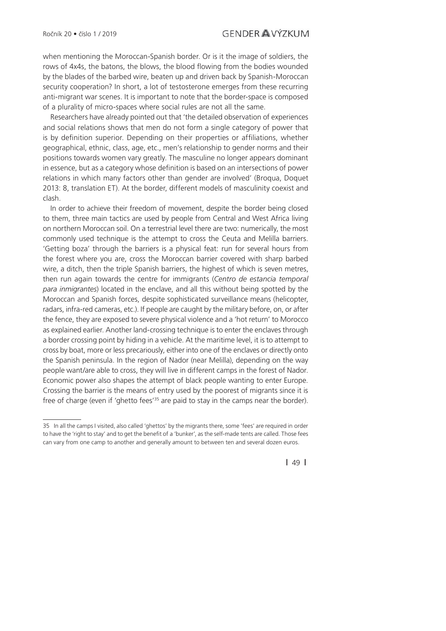when mentioning the Moroccan-Spanish border. Or is it the image of soldiers, the rows of 4x4s, the batons, the blows, the blood flowing from the bodies wounded by the blades of the barbed wire, beaten up and driven back by Spanish-Moroccan security cooperation? In short, a lot of testosterone emerges from these recurring anti-migrant war scenes. It is important to note that the border-space is composed of a plurality of micro-spaces where social rules are not all the same.

Researchers have already pointed out that 'the detailed observation of experiences and social relations shows that men do not form a single category of power that is by definition superior. Depending on their properties or affiliations, whether geographical, ethnic, class, age, etc., men's relationship to gender norms and their positions towards women vary greatly. The masculine no longer appears dominant in essence, but as a category whose definition is based on an intersections of power relations in which many factors other than gender are involved' (Broqua, Doquet 2013: 8, translation ET). At the border, different models of masculinity coexist and clash.

In order to achieve their freedom of movement, despite the border being closed to them, three main tactics are used by people from Central and West Africa living on northern Moroccan soil. On a terrestrial level there are two: numerically, the most commonly used technique is the attempt to cross the Ceuta and Melilla barriers. 'Getting boza' through the barriers is a physical feat: run for several hours from the forest where you are, cross the Moroccan barrier covered with sharp barbed wire, a ditch, then the triple Spanish barriers, the highest of which is seven metres, then run again towards the centre for immigrants (*Centro de estancia temporal para inmigrantes*) located in the enclave, and all this without being spotted by the Moroccan and Spanish forces, despite sophisticated surveillance means (helicopter, radars, infra-red cameras, etc.). If people are caught by the military before, on, or after the fence, they are exposed to severe physical violence and a 'hot return' to Morocco as explained earlier. Another land-crossing technique is to enter the enclaves through a border crossing point by hiding in a vehicle. At the maritime level, it is to attempt to cross by boat, more or less precariously, either into one of the enclaves or directly onto the Spanish peninsula. In the region of Nador (near Melilla), depending on the way people want/are able to cross, they will live in different camps in the forest of Nador. Economic power also shapes the attempt of black people wanting to enter Europe. Crossing the barrier is the means of entry used by the poorest of migrants since it is free of charge (even if 'ghetto fees<sup>'35</sup> are paid to stay in the camps near the border).

**|** 49 **|**

<sup>35</sup> In all the camps I visited, also called 'ghettos' by the migrants there, some 'fees' are required in order to have the 'right to stay' and to get the benefit of a 'bunker', as the self-made tents are called. Those fees can vary from one camp to another and generally amount to between ten and several dozen euros.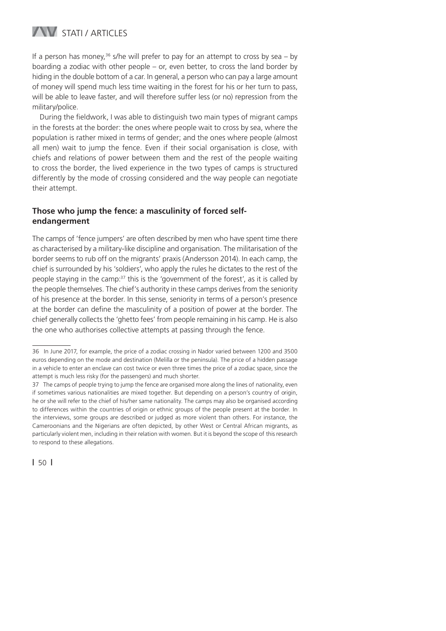

If a person has money.<sup>36</sup> s/he will prefer to pay for an attempt to cross by sea – by boarding a zodiac with other people – or, even better, to cross the land border by hiding in the double bottom of a car. In general, a person who can pay a large amount of money will spend much less time waiting in the forest for his or her turn to pass, will be able to leave faster, and will therefore suffer less (or no) repression from the military/police.

During the fieldwork, I was able to distinguish two main types of migrant camps in the forests at the border: the ones where people wait to cross by sea, where the population is rather mixed in terms of gender; and the ones where people (almost all men) wait to jump the fence. Even if their social organisation is close, with chiefs and relations of power between them and the rest of the people waiting to cross the border, the lived experience in the two types of camps is structured differently by the mode of crossing considered and the way people can negotiate their attempt.

### **Those who jump the fence: a masculinity of forced selfendangerment**

The camps of 'fence jumpers' are often described by men who have spent time there as characterised by a military-like discipline and organisation. The militarisation of the border seems to rub off on the migrants' praxis (Andersson 2014). In each camp, the chief is surrounded by his 'soldiers', who apply the rules he dictates to the rest of the people staying in the camp:37 this is the 'government of the forest', as it is called by the people themselves. The chief's authority in these camps derives from the seniority of his presence at the border. In this sense, seniority in terms of a person's presence at the border can define the masculinity of a position of power at the border. The chief generally collects the 'ghetto fees' from people remaining in his camp. He is also the one who authorises collective attempts at passing through the fence.

<sup>36</sup> In June 2017, for example, the price of a zodiac crossing in Nador varied between 1200 and 3500 euros depending on the mode and destination (Melilla or the peninsula). The price of a hidden passage in a vehicle to enter an enclave can cost twice or even three times the price of a zodiac space, since the attempt is much less risky (for the passengers) and much shorter.

<sup>37</sup> The camps of people trying to jump the fence are organised more along the lines of nationality, even if sometimes various nationalities are mixed together. But depending on a person's country of origin, he or she will refer to the chief of his/her same nationality. The camps may also be organised according to differences within the countries of origin or ethnic groups of the people present at the border. In the interviews, some groups are described or judged as more violent than others. For instance, the Cameroonians and the Nigerians are often depicted, by other West or Central African migrants, as particularly violent men, including in their relation with women. But it is beyond the scope of this research to respond to these allegations.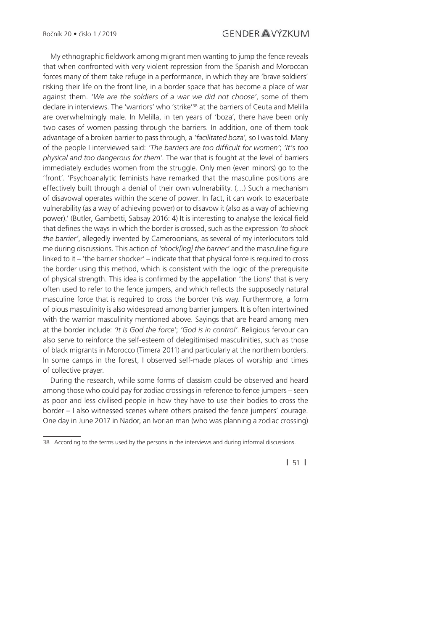My ethnographic fieldwork among migrant men wanting to jump the fence reveals that when confronted with very violent repression from the Spanish and Moroccan forces many of them take refuge in a performance, in which they are 'brave soldiers' risking their life on the front line, in a border space that has become a place of war against them. *'We are the soldiers of a war we did not choose'*, some of them declare in interviews. The 'warriors' who 'strike'38 at the barriers of Ceuta and Melilla are overwhelmingly male. In Melilla, in ten years of 'boza', there have been only two cases of women passing through the barriers. In addition, one of them took advantage of a broken barrier to pass through, a *'facilitated boza',* so I was told. Many of the people I interviewed said: *'The barriers are too diffi cult for women'*; *'It's too physical and too dangerous for them'*. The war that is fought at the level of barriers immediately excludes women from the struggle. Only men (even minors) go to the 'front'. 'Psychoanalytic feminists have remarked that the masculine positions are effectively built through a denial of their own vulnerability. (…) Such a mechanism of disavowal operates within the scene of power. In fact, it can work to exacerbate vulnerability (as a way of achieving power) or to disavow it (also as a way of achieving power).' (Butler, Gambetti, Sabsay 2016: 4) It is interesting to analyse the lexical field that defi nes the ways in which the border is crossed, such as the expression *'to shock the barrier'*, allegedly invented by Cameroonians, as several of my interlocutors told me during discussions. This action of 'shock[ing] the barrier' and the masculine figure linked to it – 'the barrier shocker' – indicate that that physical force is required to cross the border using this method, which is consistent with the logic of the prerequisite of physical strength. This idea is confirmed by the appellation 'the Lions' that is very often used to refer to the fence jumpers, and which reflects the supposedly natural masculine force that is required to cross the border this way. Furthermore, a form of pious masculinity is also widespread among barrier jumpers. It is often intertwined with the warrior masculinity mentioned above. Sayings that are heard among men at the border include: *'It is God the force'*; *'God is in control'*. Religious fervour can also serve to reinforce the self-esteem of delegitimised masculinities, such as those of black migrants in Morocco (Timera 2011) and particularly at the northern borders. In some camps in the forest, I observed self-made places of worship and times of collective prayer.

During the research, while some forms of classism could be observed and heard among those who could pay for zodiac crossings in reference to fence jumpers – seen as poor and less civilised people in how they have to use their bodies to cross the border – I also witnessed scenes where others praised the fence jumpers' courage. One day in June 2017 in Nador, an Ivorian man (who was planning a zodiac crossing)

**|** 51 **|**

<sup>38</sup> According to the terms used by the persons in the interviews and during informal discussions.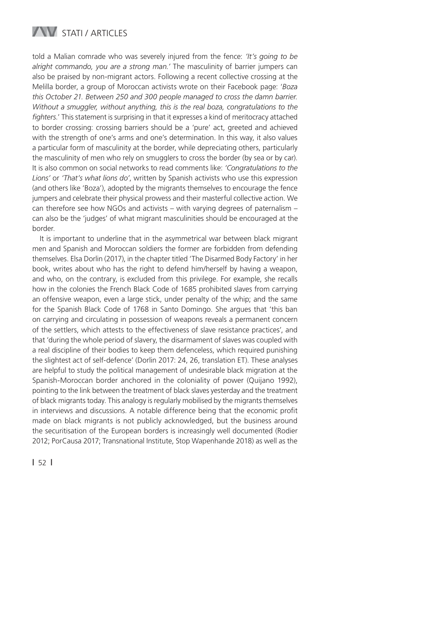

told a Malian comrade who was severely injured from the fence: *'It's going to be alright commando, you are a strong man.'* The masculinity of barrier jumpers can also be praised by non-migrant actors. Following a recent collective crossing at the Melilla border, a group of Moroccan activists wrote on their Facebook page: '*Boza this October 21. Between 250 and 300 people managed to cross the damn barrier. Without a smuggler, without anything, this is the real boza, congratulations to the*  fighters.' This statement is surprising in that it expresses a kind of meritocracy attached to border crossing: crossing barriers should be a 'pure' act, greeted and achieved with the strength of one's arms and one's determination. In this way, it also values a particular form of masculinity at the border, while depreciating others, particularly the masculinity of men who rely on smugglers to cross the border (by sea or by car). It is also common on social networks to read comments like: *'Congratulations to the Lions'* or *'That's what lions do'*, written by Spanish activists who use this expression (and others like 'Boza'), adopted by the migrants themselves to encourage the fence jumpers and celebrate their physical prowess and their masterful collective action. We can therefore see how NGOs and activists – with varying degrees of paternalism – can also be the 'judges' of what migrant masculinities should be encouraged at the border.

It is important to underline that in the asymmetrical war between black migrant men and Spanish and Moroccan soldiers the former are forbidden from defending themselves. Elsa Dorlin (2017), in the chapter titled 'The Disarmed Body Factory' in her book, writes about who has the right to defend him/herself by having a weapon, and who, on the contrary, is excluded from this privilege. For example, she recalls how in the colonies the French Black Code of 1685 prohibited slaves from carrying an offensive weapon, even a large stick, under penalty of the whip; and the same for the Spanish Black Code of 1768 in Santo Domingo. She argues that 'this ban on carrying and circulating in possession of weapons reveals a permanent concern of the settlers, which attests to the effectiveness of slave resistance practices', and that 'during the whole period of slavery, the disarmament of slaves was coupled with a real discipline of their bodies to keep them defenceless, which required punishing the slightest act of self-defence' (Dorlin 2017: 24, 26, translation ET). These analyses are helpful to study the political management of undesirable black migration at the Spanish-Moroccan border anchored in the coloniality of power (Quijano 1992), pointing to the link between the treatment of black slaves yesterday and the treatment of black migrants today. This analogy is regularly mobilised by the migrants themselves in interviews and discussions. A notable difference being that the economic profit made on black migrants is not publicly acknowledged, but the business around the securitisation of the European borders is increasingly well documented (Rodier 2012; PorCausa 2017; Transnational Institute, Stop Wapenhande 2018) as well as the

**|** 52 **|**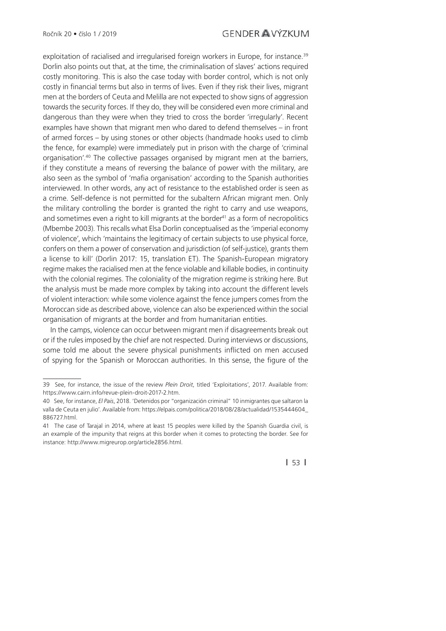exploitation of racialised and irregularised foreign workers in Europe, for instance.<sup>39</sup> Dorlin also points out that, at the time, the criminalisation of slaves' actions required costly monitoring. This is also the case today with border control, which is not only costly in financial terms but also in terms of lives. Even if they risk their lives, migrant men at the borders of Ceuta and Melilla are not expected to show signs of aggression towards the security forces. If they do, they will be considered even more criminal and dangerous than they were when they tried to cross the border 'irregularly'. Recent examples have shown that migrant men who dared to defend themselves – in front of armed forces – by using stones or other objects (handmade hooks used to climb the fence, for example) were immediately put in prison with the charge of 'criminal organisation'.40 The collective passages organised by migrant men at the barriers, if they constitute a means of reversing the balance of power with the military, are also seen as the symbol of 'mafia organisation' according to the Spanish authorities interviewed. In other words, any act of resistance to the established order is seen as a crime. Self-defence is not permitted for the subaltern African migrant men. Only the military controlling the border is granted the right to carry and use weapons, and sometimes even a right to kill migrants at the border $41$  as a form of necropolitics (Mbembe 2003). This recalls what Elsa Dorlin conceptualised as the 'imperial economy of violence', which 'maintains the legitimacy of certain subjects to use physical force, confers on them a power of conservation and jurisdiction (of self-justice), grants them a license to kill' (Dorlin 2017: 15, translation ET). The Spanish-European migratory regime makes the racialised men at the fence violable and killable bodies, in continuity with the colonial regimes. The coloniality of the migration regime is striking here. But the analysis must be made more complex by taking into account the different levels of violent interaction: while some violence against the fence jumpers comes from the Moroccan side as described above, violence can also be experienced within the social organisation of migrants at the border and from humanitarian entities.

In the camps, violence can occur between migrant men if disagreements break out or if the rules imposed by the chief are not respected. During interviews or discussions, some told me about the severe physical punishments inflicted on men accused of spying for the Spanish or Moroccan authorities. In this sense, the figure of the

<sup>39</sup> See, for instance, the issue of the review *Plein Droit*, titled 'Exploitations', 2017. Available from: https://www.cairn.info/revue-plein-droit-2017-2.htm.

<sup>40</sup> See, for instance, *El Pais*, 2018. 'Detenidos por "organización criminal" 10 inmigrantes que saltaron la valla de Ceuta en julio'. Available from: https://elpais.com/politica/2018/08/28/actualidad/1535444604\_ 886727.html.

<sup>41</sup> The case of Tarajal in 2014, where at least 15 peoples were killed by the Spanish Guardia civil, is an example of the impunity that reigns at this border when it comes to protecting the border. See for instance: http://www.migreurop.org/article2856.html.

**<sup>|</sup>** 53 **|**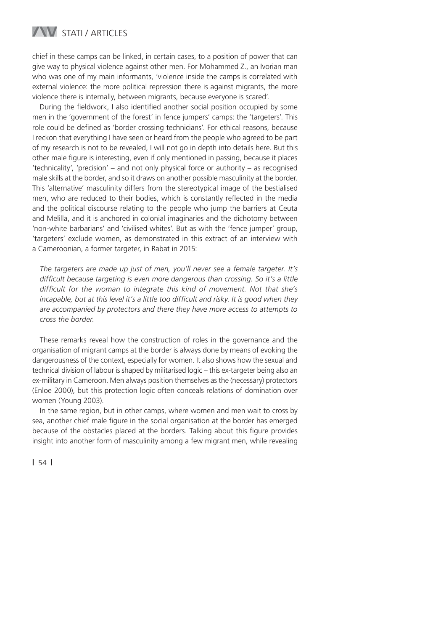

chief in these camps can be linked, in certain cases, to a position of power that can give way to physical violence against other men. For Mohammed Z., an Ivorian man who was one of my main informants, 'violence inside the camps is correlated with external violence: the more political repression there is against migrants, the more violence there is internally, between migrants, because everyone is scared'.

During the fieldwork, I also identified another social position occupied by some men in the 'government of the forest' in fence jumpers' camps: the 'targeters'. This role could be defined as 'border crossing technicians'. For ethical reasons, because I reckon that everything I have seen or heard from the people who agreed to be part of my research is not to be revealed, I will not go in depth into details here. But this other male figure is interesting, even if only mentioned in passing, because it places 'technicality', 'precision' – and not only physical force or authority – as recognised male skills at the border, and so it draws on another possible masculinity at the border. This 'alternative' masculinity differs from the stereotypical image of the bestialised men, who are reduced to their bodies, which is constantly reflected in the media and the political discourse relating to the people who jump the barriers at Ceuta and Melilla, and it is anchored in colonial imaginaries and the dichotomy between 'non-white barbarians' and 'civilised whites'. But as with the 'fence jumper' group, 'targeters' exclude women, as demonstrated in this extract of an interview with a Cameroonian, a former targeter, in Rabat in 2015:

*The targeters are made up just of men, you'll never see a female targeter. It's*  difficult because targeting is even more dangerous than crossing. So it's a little difficult for the woman to integrate this kind of movement. Not that she's *incapable, but at this level it's a little too difficult and risky. It is good when they are accompanied by protectors and there they have more access to attempts to cross the border*.

These remarks reveal how the construction of roles in the governance and the organisation of migrant camps at the border is always done by means of evoking the dangerousness of the context, especially for women. It also shows how the sexual and technical division of labour is shaped by militarised logic – this ex-targeter being also an ex-military in Cameroon. Men always position themselves as the (necessary) protectors (Enloe 2000), but this protection logic often conceals relations of domination over women (Young 2003).

In the same region, but in other camps, where women and men wait to cross by sea, another chief male figure in the social organisation at the border has emerged because of the obstacles placed at the borders. Talking about this figure provides insight into another form of masculinity among a few migrant men, while revealing

**|** 54 **|**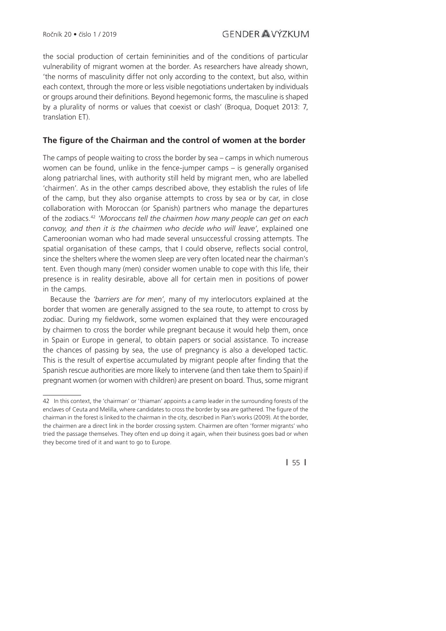the social production of certain femininities and of the conditions of particular vulnerability of migrant women at the border. As researchers have already shown, 'the norms of masculinity differ not only according to the context, but also, within each context, through the more or less visible negotiations undertaken by individuals or groups around their definitions. Beyond hegemonic forms, the masculine is shaped by a plurality of norms or values that coexist or clash' (Broqua, Doquet 2013: 7, translation ET).

#### The figure of the Chairman and the control of women at the border

The camps of people waiting to cross the border by sea – camps in which numerous women can be found, unlike in the fence-jumper camps – is generally organised along patriarchal lines, with authority still held by migrant men, who are labelled 'chairmen'. As in the other camps described above, they establish the rules of life of the camp, but they also organise attempts to cross by sea or by car, in close collaboration with Moroccan (or Spanish) partners who manage the departures of the zodiacs.42 *'Moroccans tell the chairmen how many people can get on each convoy, and then it is the chairmen who decide who will leave'*, explained one Cameroonian woman who had made several unsuccessful crossing attempts. The spatial organisation of these camps, that I could observe, reflects social control, since the shelters where the women sleep are very often located near the chairman's tent. Even though many (men) consider women unable to cope with this life, their presence is in reality desirable, above all for certain men in positions of power in the camps.

Because the *'barriers are for men',* many of my interlocutors explained at the border that women are generally assigned to the sea route, to attempt to cross by zodiac. During my fieldwork, some women explained that they were encouraged by chairmen to cross the border while pregnant because it would help them, once in Spain or Europe in general, to obtain papers or social assistance. To increase the chances of passing by sea, the use of pregnancy is also a developed tactic. This is the result of expertise accumulated by migrant people after finding that the Spanish rescue authorities are more likely to intervene (and then take them to Spain) if pregnant women (or women with children) are present on board. Thus, some migrant

**|** 55 **|**

<sup>42</sup> In this context, the 'chairman' or 'thiaman' appoints a camp leader in the surrounding forests of the enclaves of Ceuta and Melilla, where candidates to cross the border by sea are gathered. The figure of the chairman in the forest is linked to the chairman in the city, described in Pian's works (2009). At the border, the chairmen are a direct link in the border crossing system. Chairmen are often 'former migrants' who tried the passage themselves. They often end up doing it again, when their business goes bad or when they become tired of it and want to go to Europe.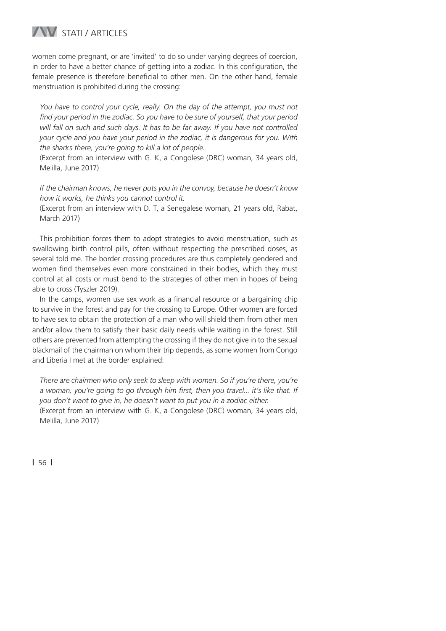## **WESTATI / ARTICLES**

women come pregnant, or are 'invited' to do so under varying degrees of coercion, in order to have a better chance of getting into a zodiac. In this configuration, the female presence is therefore beneficial to other men. On the other hand, female menstruation is prohibited during the crossing:

You have to control your cycle, really. On the day of the attempt, you must not find your period in the zodiac. So you have to be sure of yourself, that your period *will fall on such and such days. It has to be far away. If you have not controlled your cycle and you have your period in the zodiac, it is dangerous for you. With the sharks there, you're going to kill a lot of people.*

(Excerpt from an interview with G. K, a Congolese (DRC) woman, 34 years old, Melilla, June 2017)

*If the chairman knows, he never puts you in the convoy, because he doesn't know how it works, he thinks you cannot control it.*

(Excerpt from an interview with D. T, a Senegalese woman, 21 years old, Rabat, March 2017)

This prohibition forces them to adopt strategies to avoid menstruation, such as swallowing birth control pills, often without respecting the prescribed doses, as several told me. The border crossing procedures are thus completely gendered and women find themselves even more constrained in their bodies, which they must control at all costs or must bend to the strategies of other men in hopes of being able to cross (Tyszler 2019).

In the camps, women use sex work as a financial resource or a bargaining chip to survive in the forest and pay for the crossing to Europe. Other women are forced to have sex to obtain the protection of a man who will shield them from other men and/or allow them to satisfy their basic daily needs while waiting in the forest. Still others are prevented from attempting the crossing if they do not give in to the sexual blackmail of the chairman on whom their trip depends, as some women from Congo and Liberia I met at the border explained:

*There are chairmen who only seek to sleep with women. So if you're there, you're a woman, you're going to go through him first, then you travel... it's like that. If you don't want to give in, he doesn't want to put you in a zodiac either.* (Excerpt from an interview with G. K, a Congolese (DRC) woman, 34 years old, Melilla, June 2017)

**|** 56 **|**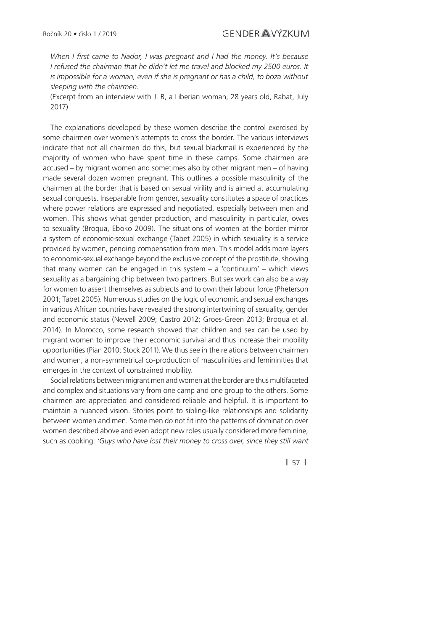*When I first came to Nador. I was pregnant and I had the money. It's because I refused the chairman that he didn't let me travel and blocked my 2500 euros. It is impossible for a woman, even if she is pregnant or has a child, to boza without sleeping with the chairmen.*

(Excerpt from an interview with J. B, a Liberian woman, 28 years old, Rabat, July 2017)

The explanations developed by these women describe the control exercised by some chairmen over women's attempts to cross the border. The various interviews indicate that not all chairmen do this, but sexual blackmail is experienced by the majority of women who have spent time in these camps. Some chairmen are accused – by migrant women and sometimes also by other migrant men – of having made several dozen women pregnant. This outlines a possible masculinity of the chairmen at the border that is based on sexual virility and is aimed at accumulating sexual conquests. Inseparable from gender, sexuality constitutes a space of practices where power relations are expressed and negotiated, especially between men and women. This shows what gender production, and masculinity in particular, owes to sexuality (Broqua, Eboko 2009). The situations of women at the border mirror a system of economic-sexual exchange (Tabet 2005) in which sexuality is a service provided by women, pending compensation from men. This model adds more layers to economic-sexual exchange beyond the exclusive concept of the prostitute, showing that many women can be engaged in this system – a 'continuum' – which views sexuality as a bargaining chip between two partners. But sex work can also be a way for women to assert themselves as subjects and to own their labour force (Pheterson 2001; Tabet 2005). Numerous studies on the logic of economic and sexual exchanges in various African countries have revealed the strong intertwining of sexuality, gender and economic status (Newell 2009; Castro 2012; Groes-Green 2013; Broqua et al. 2014). In Morocco, some research showed that children and sex can be used by migrant women to improve their economic survival and thus increase their mobility opportunities (Pian 2010; Stock 2011). We thus see in the relations between chairmen and women, a non-symmetrical co-production of masculinities and femininities that emerges in the context of constrained mobility.

Social relations between migrant men and women at the border are thus multifaceted and complex and situations vary from one camp and one group to the others. Some chairmen are appreciated and considered reliable and helpful. It is important to maintain a nuanced vision. Stories point to sibling-like relationships and solidarity between women and men. Some men do not fit into the patterns of domination over women described above and even adopt new roles usually considered more feminine, such as cooking: *'Guys who have lost their money to cross over, since they still want* 

**|** 57 **|**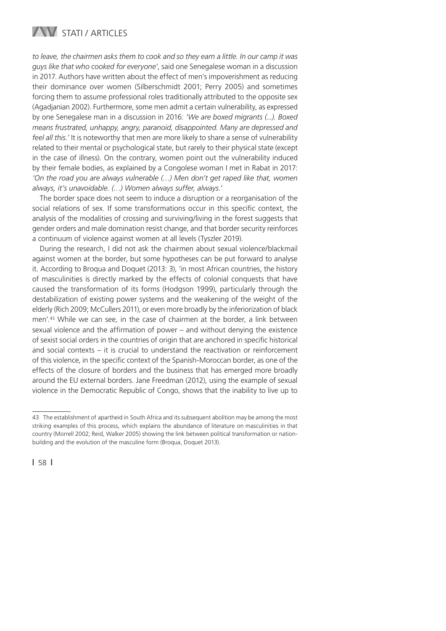

*to leave, the chairmen asks them to cook and so they earn a little. In our camp it was guys like that who cooked for everyone'*, said one Senegalese woman in a discussion in 2017. Authors have written about the effect of men's impoverishment as reducing their dominance over women (Silberschmidt 2001; Perry 2005) and sometimes forcing them to assume professional roles traditionally attributed to the opposite sex (Agadjanian 2002). Furthermore, some men admit a certain vulnerability, as expressed by one Senegalese man in a discussion in 2016: *'We are boxed migrants (...). Boxed means frustrated, unhappy, angry, paranoid, disappointed. Many are depressed and feel all this.'* It is noteworthy that men are more likely to share a sense of vulnerability related to their mental or psychological state, but rarely to their physical state (except in the case of illness). On the contrary, women point out the vulnerability induced by their female bodies, as explained by a Congolese woman I met in Rabat in 2017: *'On the road you are always vulnerable (…) Men don't get raped like that, women always, it's unavoidable. (…) Women always suffer, always.'*

The border space does not seem to induce a disruption or a reorganisation of the social relations of sex. If some transformations occur in this specific context, the analysis of the modalities of crossing and surviving/living in the forest suggests that gender orders and male domination resist change, and that border security reinforces a continuum of violence against women at all levels (Tyszler 2019).

During the research, I did not ask the chairmen about sexual violence/blackmail against women at the border, but some hypotheses can be put forward to analyse it. According to Broqua and Doquet (2013: 3), 'in most African countries, the history of masculinities is directly marked by the effects of colonial conquests that have caused the transformation of its forms (Hodgson 1999), particularly through the destabilization of existing power systems and the weakening of the weight of the elderly (Rich 2009; McCullers 2011), or even more broadly by the inferiorization of black men'.43 While we can see, in the case of chairmen at the border, a link between sexual violence and the affirmation of power  $-$  and without denying the existence of sexist social orders in the countries of origin that are anchored in specific historical and social contexts – it is crucial to understand the reactivation or reinforcement of this violence, in the specific context of the Spanish-Moroccan border, as one of the effects of the closure of borders and the business that has emerged more broadly around the EU external borders. Jane Freedman (2012), using the example of sexual violence in the Democratic Republic of Congo, shows that the inability to live up to

<sup>43</sup> The establishment of apartheid in South Africa and its subsequent abolition may be among the most striking examples of this process, which explains the abundance of literature on masculinities in that country (Morrell 2002; Reid, Walker 2005) showing the link between political transformation or nationbuilding and the evolution of the masculine form (Broqua, Doquet 2013).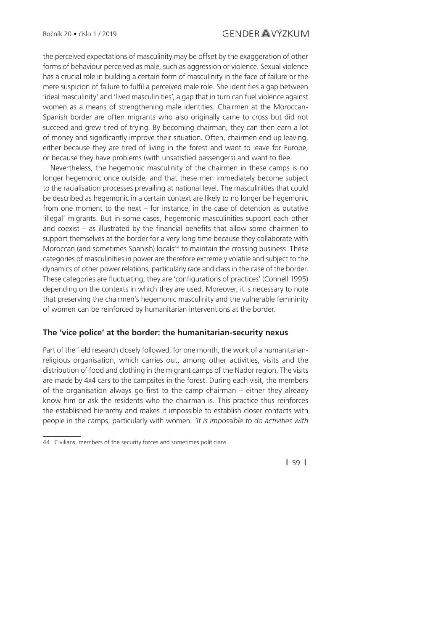the perceived expectations of masculinity may be offset by the exaggeration of other forms of behaviour perceived as male, such as aggression or violence. Sexual violence has a crucial role in building a certain form of masculinity in the face of failure or the mere suspicion of failure to fulfil a perceived male role. She identifies a gap between 'ideal masculinity' and 'lived masculinities', a gap that in turn can fuel violence against women as a means of strengthening male identities. Chairmen at the Moroccan-Spanish border are often migrants who also originally came to cross but did not succeed and grew tired of trying. By becoming chairman, they can then earn a lot of money and significantly improve their situation. Often, chairmen end up leaving, either because they are tired of living in the forest and want to leave for Europe, or because they have problems (with unsatisfied passengers) and want to flee.

Nevertheless, the hegemonic masculinity of the chairmen in these camps is no longer hegemonic once outside, and that these men immediately become subject to the racialisation processes prevailing at national level. The masculinities that could be described as hegemonic in a certain context are likely to no longer be hegemonic from one moment to the next – for instance, in the case of detention as putative 'illegal' migrants. But in some cases, hegemonic masculinities support each other and coexist  $-$  as illustrated by the financial benefits that allow some chairmen to support themselves at the border for a very long time because they collaborate with Moroccan (and sometimes Spanish) locals<sup>44</sup> to maintain the crossing business. These categories of masculinities in power are therefore extremely volatile and subject to the dynamics of other power relations, particularly race and class in the case of the border. These categories are fluctuating, they are 'configurations of practices' (Connell 1995) depending on the contexts in which they are used. Moreover, it is necessary to note that preserving the chairmen's hegemonic masculinity and the vulnerable femininity of women can be reinforced by humanitarian interventions at the border.

#### **The 'vice police' at the border: the humanitarian-security nexus**

Part of the field research closely followed, for one month, the work of a humanitarianreligious organisation, which carries out, among other activities, visits and the distribution of food and clothing in the migrant camps of the Nador region. The visits are made by 4x4 cars to the campsites in the forest. During each visit, the members of the organisation always go first to the camp chairman  $-$  either they already know him or ask the residents who the chairman is. This practice thus reinforces the established hierarchy and makes it impossible to establish closer contacts with people in the camps, particularly with women. *'It is impossible to do activities with* 

**|** 59 **|**

<sup>44</sup> Civilians, members of the security forces and sometimes politicians.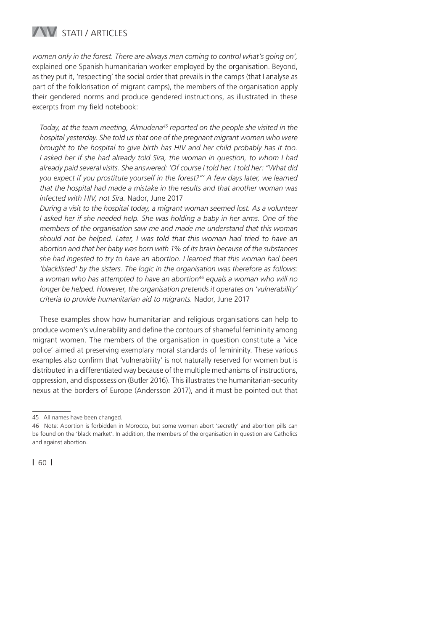## STATI / ARTICLES

*women only in the forest. There are always men coming to control what's going on',* explained one Spanish humanitarian worker employed by the organisation. Beyond, as they put it, 'respecting' the social order that prevails in the camps (that I analyse as part of the folklorisation of migrant camps), the members of the organisation apply their gendered norms and produce gendered instructions, as illustrated in these excerpts from my field notebook:

*Today, at the team meeting, Almudena45 reported on the people she visited in the hospital yesterday. She told us that one of the pregnant migrant women who were brought to the hospital to give birth has HIV and her child probably has it too. I asked her if she had already told Sira, the woman in question, to whom I had already paid several visits. She answered: 'Of course I told her. I told her: "What did you expect if you prostitute yourself in the forest?"' A few days later, we learned that the hospital had made a mistake in the results and that another woman was infected with HIV, not Sira.* Nador, June 2017

*During a visit to the hospital today, a migrant woman seemed lost. As a volunteer I* asked her if she needed help. She was holding a baby in her arms. One of the *members of the organisation saw me and made me understand that this woman should not be helped. Later, I was told that this woman had tried to have an abortion and that her baby was born with 1% of its brain because of the substances she had ingested to try to have an abortion. I learned that this woman had been 'blacklisted' by the sisters. The logic in the organisation was therefore as follows: a woman who has attempted to have an abortion46 equals a woman who will no longer be helped. However, the organisation pretends it operates on 'vulnerability' criteria to provide humanitarian aid to migrants.* Nador, June 2017

These examples show how humanitarian and religious organisations can help to produce women's vulnerability and define the contours of shameful femininity among migrant women. The members of the organisation in question constitute a 'vice police' aimed at preserving exemplary moral standards of femininity. These various examples also confirm that 'vulnerability' is not naturally reserved for women but is distributed in a differentiated way because of the multiple mechanisms of instructions, oppression, and dispossession (Butler 2016). This illustrates the humanitarian-security nexus at the borders of Europe (Andersson 2017), and it must be pointed out that

<sup>45</sup> All names have been changed.

<sup>46</sup> Note: Abortion is forbidden in Morocco, but some women abort 'secretly' and abortion pills can be found on the 'black market'. In addition, the members of the organisation in question are Catholics and against abortion.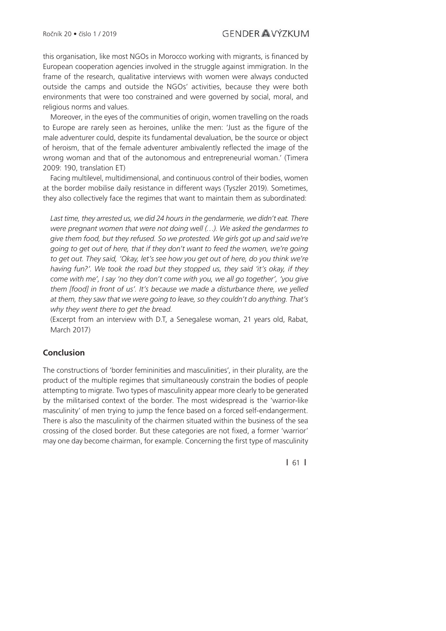this organisation, like most NGOs in Morocco working with migrants, is financed by European cooperation agencies involved in the struggle against immigration. In the frame of the research, qualitative interviews with women were always conducted outside the camps and outside the NGOs' activities, because they were both environments that were too constrained and were governed by social, moral, and religious norms and values.

Moreover, in the eyes of the communities of origin, women travelling on the roads to Europe are rarely seen as heroines, unlike the men: 'Just as the figure of the male adventurer could, despite its fundamental devaluation, be the source or object of heroism, that of the female adventurer ambivalently reflected the image of the wrong woman and that of the autonomous and entrepreneurial woman.' (Timera 2009: 190, translation ET)

Facing multilevel, multidimensional, and continuous control of their bodies, women at the border mobilise daily resistance in different ways (Tyszler 2019). Sometimes, they also collectively face the regimes that want to maintain them as subordinated:

Last time, they arrested us, we did 24 hours in the gendarmerie, we didn't eat. There *were pregnant women that were not doing well (…). We asked the gendarmes to give them food, but they refused. So we protested. We girls got up and said we're going to get out of here, that if they don't want to feed the women, we're going to get out. They said, 'Okay, let's see how you get out of here, do you think we're having fun?'. We took the road but they stopped us, they said 'it's okay, if they come with me', I say 'no they don't come with you, we all go together', 'you give them [food] in front of us'. It's because we made a disturbance there, we yelled at them, they saw that we were going to leave, so they couldn't do anything. That's why they went there to get the bread.*

(Excerpt from an interview with D.T, a Senegalese woman, 21 years old, Rabat, March 2017)

#### **Conclusion**

The constructions of 'border femininities and masculinities', in their plurality, are the product of the multiple regimes that simultaneously constrain the bodies of people attempting to migrate. Two types of masculinity appear more clearly to be generated by the militarised context of the border. The most widespread is the 'warrior-like masculinity' of men trying to jump the fence based on a forced self-endangerment. There is also the masculinity of the chairmen situated within the business of the sea crossing of the closed border. But these categories are not fixed, a former 'warrior' may one day become chairman, for example. Concerning the first type of masculinity

**|** 61 **|**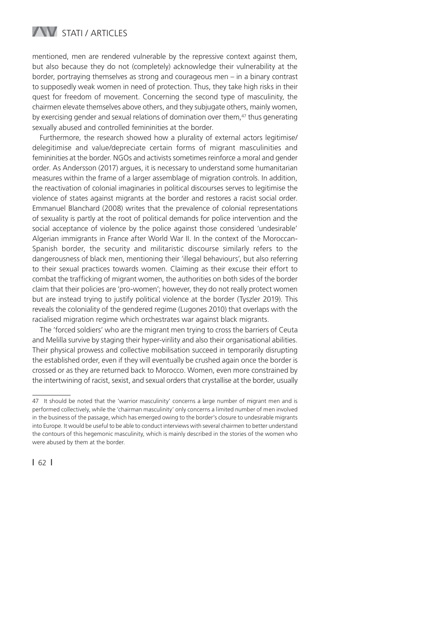## **WESTATI / ARTICLES**

mentioned, men are rendered vulnerable by the repressive context against them, but also because they do not (completely) acknowledge their vulnerability at the border, portraying themselves as strong and courageous men – in a binary contrast to supposedly weak women in need of protection. Thus, they take high risks in their quest for freedom of movement. Concerning the second type of masculinity, the chairmen elevate themselves above others, and they subjugate others, mainly women, by exercising gender and sexual relations of domination over them, $47$  thus generating sexually abused and controlled femininities at the border.

Furthermore, the research showed how a plurality of external actors legitimise/ delegitimise and value/depreciate certain forms of migrant masculinities and femininities at the border. NGOs and activists sometimes reinforce a moral and gender order. As Andersson (2017) argues, it is necessary to understand some humanitarian measures within the frame of a larger assemblage of migration controls. In addition, the reactivation of colonial imaginaries in political discourses serves to legitimise the violence of states against migrants at the border and restores a racist social order. Emmanuel Blanchard (2008) writes that the prevalence of colonial representations of sexuality is partly at the root of political demands for police intervention and the social acceptance of violence by the police against those considered 'undesirable' Algerian immigrants in France after World War II. In the context of the Moroccan-Spanish border, the security and militaristic discourse similarly refers to the dangerousness of black men, mentioning their 'illegal behaviours', but also referring to their sexual practices towards women. Claiming as their excuse their effort to combat the trafficking of migrant women, the authorities on both sides of the border claim that their policies are 'pro-women'; however, they do not really protect women but are instead trying to justify political violence at the border (Tyszler 2019). This reveals the coloniality of the gendered regime (Lugones 2010) that overlaps with the racialised migration regime which orchestrates war against black migrants.

The 'forced soldiers' who are the migrant men trying to cross the barriers of Ceuta and Melilla survive by staging their hyper-virility and also their organisational abilities. Their physical prowess and collective mobilisation succeed in temporarily disrupting the established order, even if they will eventually be crushed again once the border is crossed or as they are returned back to Morocco. Women, even more constrained by the intertwining of racist, sexist, and sexual orders that crystallise at the border, usually

<sup>47</sup> It should be noted that the 'warrior masculinity' concerns a large number of migrant men and is performed collectively, while the 'chairman masculinity' only concerns a limited number of men involved in the business of the passage, which has emerged owing to the border's closure to undesirable migrants into Europe. It would be useful to be able to conduct interviews with several chairmen to better understand the contours of this hegemonic masculinity, which is mainly described in the stories of the women who were abused by them at the border.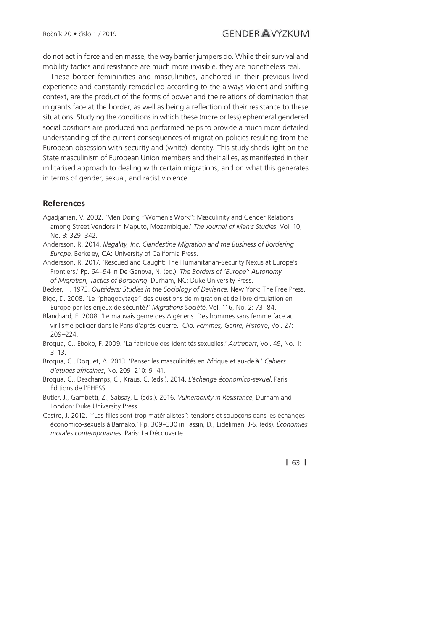do not act in force and en masse, the way barrier jumpers do. While their survival and mobility tactics and resistance are much more invisible, they are nonetheless real.

These border femininities and masculinities, anchored in their previous lived experience and constantly remodelled according to the always violent and shifting context, are the product of the forms of power and the relations of domination that migrants face at the border, as well as being a reflection of their resistance to these situations. Studying the conditions in which these (more or less) ephemeral gendered social positions are produced and performed helps to provide a much more detailed understanding of the current consequences of migration policies resulting from the European obsession with security and (white) identity. This study sheds light on the State masculinism of European Union members and their allies, as manifested in their militarised approach to dealing with certain migrations, and on what this generates in terms of gender, sexual, and racist violence.

#### **References**

- Agadjanian, V. 2002. 'Men Doing "Women's Work": Masculinity and Gender Relations among Street Vendors in Maputo, Mozambique.' *The Journal of Men's Studies*, Vol. 10, No. 3: 329–342.
- Andersson, R. 2014. *Illegality, Inc: Clandestine Migration and the Business of Bordering Europe*. Berkeley, CA: University of California Press.
- Andersson, R. 2017. 'Rescued and Caught: The Humanitarian-Security Nexus at Europe's Frontiers.' Pp. 64–94 in De Genova, N. (ed.). *The Borders of 'Europe': Autonomy of Migration, Tactics of Bordering*. Durham, NC: Duke University Press.
- Becker, H. 1973. *Outsiders: Studies in the Sociology of Deviance*. New York: The Free Press.
- Bigo, D. 2008. 'Le "phagocytage" des questions de migration et de libre circulation en Europe par les enjeux de sécurité?' *Migrations Société*, Vol. 116, No. 2: 73–84.
- Blanchard, E. 2008. 'Le mauvais genre des Algériens. Des hommes sans femme face au virilisme policier dans le Paris d'après-guerre.' *Clio. Femmes, Genre, Histoire*, Vol. 27: 209–224.
- Broqua, C., Eboko, F. 2009. 'La fabrique des identités sexuelles.' *Autrepart*, Vol. 49, No. 1: 3–13.
- Broqua, C., Doquet, A. 2013. 'Penser les masculinités en Afrique et au-delà.' *Cahiers d'études africaines*, No. 209–210: 9–41.
- Broqua, C., Deschamps, C., Kraus, C. (eds.). 2014. *L'échange économico-sexuel*. Paris: Éditions de l'EHESS.
- Butler, J., Gambetti, Z., Sabsay, L. (eds.). 2016. *Vulnerability in Resistance*, Durham and London: Duke University Press.
- Castro, J. 2012. "Les filles sont trop matérialistes": tensions et soupçons dans les échanges économico-sexuels à Bamako.' Pp. 309–330 in Fassin, D., Eideliman, J-S. (eds). *Économies morales contemporaines*. Paris: La Découverte.

**|** 63 **|**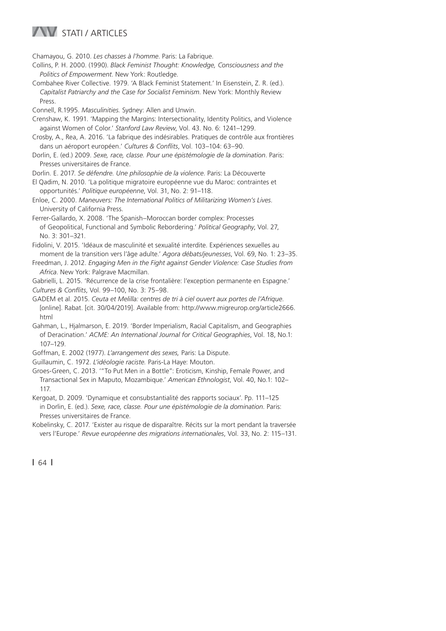### **WESTATI / ARTICLES**

Chamayou, G. 2010. *Les chasses à l'homme*. Paris: La Fabrique.

- Collins, P. H. 2000. (1990). *Black Feminist Thought: Knowledge, Consciousness and the Politics of Empowerment*. New York: Routledge.
- Combahee River Collective. 1979. 'A Black Feminist Statement.' In Eisenstein, Z. R. (ed.). *Capitalist Patriarchy and the Case for Socialist Feminism*. New York: Monthly Review **Press**

Connell, R.1995. *Masculinities.* Sydney: Allen and Unwin.

Crenshaw, K. 1991. 'Mapping the Margins: Intersectionality, Identity Politics, and Violence against Women of Color.' *Stanford Law Review*, Vol. 43. No. 6: 1241–1299.

- Crosby, A., Rea, A. 2016. 'La fabrique des indésirables. Pratiques de contrôle aux frontières dans un aéroport européen.' Cultures & Conflits, Vol. 103-104: 63-90.
- Dorlin, E. (ed.) 2009. *Sexe, race, classe. Pour une épistémologie de la domination*. Paris: Presses universitaires de France.

Dorlin. E. 2017. *Se défendre. Une philosophie de la violence*. Paris: La Découverte

- El Qadim, N. 2010. 'La politique migratoire européenne vue du Maroc: contraintes et opportunités.' *Politique européenne*, Vol. 31, No. 2: 91–118.
- Enloe, C. 2000. *Maneuvers: The International Politics of Militarizing Women's Lives*. University of California Press.

Ferrer-Gallardo, X. 2008. 'The Spanish–Moroccan border complex: Processes of Geopolitical, Functional and Symbolic Rebordering.' *Political Geography*, Vol. 27, No. 3: 301–321.

Fidolini, V. 2015. 'Idéaux de masculinité et sexualité interdite. Expériences sexuelles au moment de la transition vers l'âge adulte.' *Agora débats/jeunesses*, Vol. 69, No. 1: 23–35.

Freedman, J. 2012. *Engaging Men in the Fight against Gender Violence: Case Studies from Africa*. New York: Palgrave Macmillan.

Gabrielli, L. 2015. 'Récurrence de la crise frontalière: l'exception permanente en Espagne.'

*Cultures & Confl its*, Vol. 99–100, No. 3: 75–98.

GADEM et al. 2015. *Ceuta et Melilla: centres de tri à ciel ouvert aux portes de l'Afrique*. [online]. Rabat. [cit. 30/04/2019]. Available from: http://www.migreurop.org/article2666. html

- Gahman, L., Hjalmarson, E. 2019. 'Border Imperialism, Racial Capitalism, and Geographies of Deracination.' *ACME: An International Journal for Critical Geographies*, Vol. 18, No.1: 107–129.
- Goffman, E. 2002 (1977). *L'arrangement des sexes,* Paris: La Dispute.
- Guillaumin, C. 1972. *L'idéologie raciste.* Paris-La Haye: Mouton.
- Groes-Green, C. 2013. '"To Put Men in a Bottle": Eroticism, Kinship, Female Power, and Transactional Sex in Maputo, Mozambique.' *American Ethnologist*, Vol. 40, No.1: 102– 117.

Kergoat, D. 2009. 'Dynamique et consubstantialité des rapports sociaux'. Pp. 111–125 in Dorlin, E. (ed.). *Sexe, race, classe. Pour une épistémologie de la domination*. Paris: Presses universitaires de France.

Kobelinsky, C. 2017. 'Exister au risque de disparaître. Récits sur la mort pendant la traversée vers l'Europe.' *Revue européenne des migrations internationales*, Vol. 33, No. 2: 115–131.

**|** 64 **|**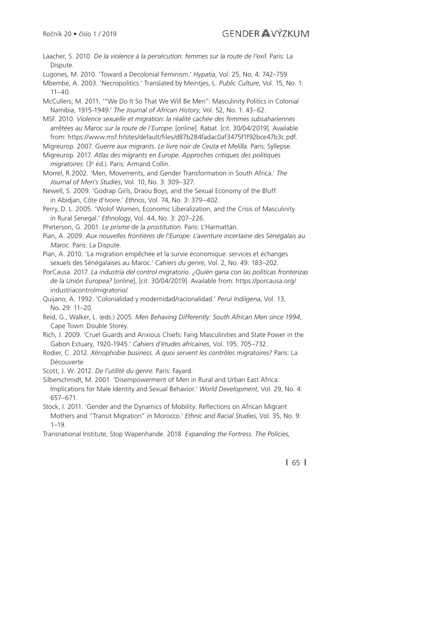Laacher, S. 2010. *De la violence à la persécution: femmes sur la route de l'exil*. Paris: La Dispute.

Lugones, M. 2010. 'Toward a Decolonial Feminism.' *Hypatia*, Vol. 25, No. 4: 742–759.

Mbembe, A. 2003. 'Necropolitics.' Translated by Meintjes, L. *Public Culture*, Vol. 15, No. 1: 11–40.

McCullers, M. 2011. '"We Do It So That We Will Be Men": Masculinity Politics in Colonial Namibia, 1915-1949.' *The Journal of African History*, Vol. 52, No. 1: 43–62.

MSF. 2010. *Violence sexuelle et migration: la réalité cachée des femmes subsahariennes arrêtées au Maroc sur la route de l'Europe*. [online]. Rabat. [cit. 30/04/2019]. Available from: https://www.msf.fr/sites/default/fi les/d87b284fadac0af3475f1f92bce47b3c.pdf.

Migreurop. 2007. *Guerre aux migrants. Le livre noir de Ceuta et Melilla*. Paris: Syllepse.

Migreurop. 2017. *Atlas des migrants en Europe. Approches critiques des politiques migratoires*. (3e éd.). Paris: Armand Collin.

Morrel, R.2002. 'Men, Movements, and Gender Transformation in South Africa.' *The Journal of Men's Studies*, Vol. 10, No. 3: 309–327.

Newell, S. 2009. 'Godrap Girls, Draou Boys, and the Sexual Economy of the Bluff in Abidjan, Côte d'Ivoire.' *Ethnos*, Vol. 74, No. 3: 379–402.

Perry, D. L. 2005. 'Wolof Women, Economic Liberalization, and the Crisis of Masculinity in Rural Senegal.' *Ethnology*, Vol. 44, No. 3: 207–226.

Pheterson, G. 2001. *Le prisme de la prostitution*. Paris: L'Harmattan.

Pian, A. 2009. *Aux nouvelles frontières de l'Europe: L'aventure incertaine des Sénégalais au Maroc*. Paris: La Dispute.

- Pian, A. 2010. 'La migration empêchée et la survie économique: services et échanges sexuels des Sénégalaises au Maroc.' *Cahiers du genre*, Vol. 2, No. 49: 183–202.
- PorCausa. 2017. *La industria del control migratorio. ¿Quién gana con las políticas fronterizas de la Unión Europea?* [online], [cit. 30/04/2019]. Available from: https://porcausa.org/ industriacontrolmigratorio/.
- Quijano, A. 1992. 'Colonialidad y modernidad/racionalidad.' *Peruì Indiìgena*, Vol. 13, No. 29: 11–20.
- Reid, G., Walker, L. (eds.) 2005. *Men Behaving Differently: South African Men since 1994*, Cape Town: Double Storey.
- Rich, J. 2009. 'Cruel Guards and Anxious Chiefs: Fang Masculinities and State Power in the Gabon Estuary, 1920-1945.' *Cahiers d'études africaines*, Vol. 195: 705–732.
- Rodier, C. 2012. *Xénophobie business. À quoi servent les contrôles migratoires?* Paris: La Découverte.

Scott, J. W. 2012. *De l'utilité du genre*. Paris: Fayard.

Silberschmidt, M. 2001. 'Disempowerment of Men in Rural and Urban East Africa: Implications for Male Identity and Sexual Behavior.' *World Development*, Vol. 29, No. 4: 657–671.

Stock, I. 2011. 'Gender and the Dynamics of Mobility: Reflections on African Migrant Mothers and "Transit Migration" in Morocco.' *Ethnic and Racial Studies*, Vol. 35, No. 9: 1–19.

Transnational Institute, Stop Wapenhande. 2018. *Expanding the Fortress. The Policies,* 

**|** 65 **|**